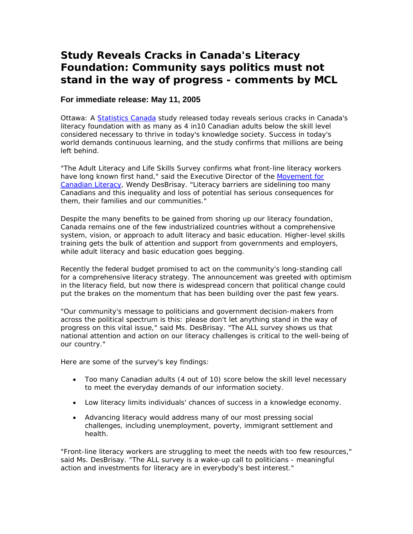## **Study Reveals Cracks in Canada's Literacy Foundation: Community says politics must not stand in the way of progress - comments by MCL**

## **For immediate release: May 11, 2005**

Ottawa: [A Statistics Canada](http://www.statcan.ca/start.html) study released today reveals serious cracks in Canada's literacy foundation with as many as 4 in10 Canadian adults below the skill level considered necessary to thrive in today's knowledge society. Success in today's world demands continuous learning, and the study confirms that millions are being left behind.

"The Adult Literacy and Life Skills Survey confirms what front-line literacy workers have long known first hand," said the Executive Director of the [Movement for](http://www.literacy.ca)  [Canadian Literacy,](http://www.literacy.ca) Wendy DesBrisay. "Literacy barriers are sidelining too many Canadians and this inequality and loss of potential has serious consequences for them, their families and our communities."

Despite the many benefits to be gained from shoring up our literacy foundation, Canada remains one of the few industrialized countries without a comprehensive system, vision, or approach to adult literacy and basic education. Higher-level skills training gets the bulk of attention and support from governments and employers, while adult literacy and basic education goes begging.

Recently the federal budget promised to act on the community's long-standing call for a comprehensive literacy strategy. The announcement was greeted with optimism in the literacy field, but now there is widespread concern that political change could put the brakes on the momentum that has been building over the past few years.

"Our community's message to politicians and government decision-makers from across the political spectrum is this: please don't let anything stand in the way of progress on this vital issue," said Ms. DesBrisay. "The ALL survey shows us that national attention and action on our literacy challenges is critical to the well-being of our country."

Here are some of the survey's key findings:

- Too many Canadian adults (4 out of 10) score below the skill level necessary to meet the everyday demands of our information society.
- Low literacy limits individuals' chances of success in a knowledge economy.
- Advancing literacy would address many of our most pressing social challenges, including unemployment, poverty, immigrant settlement and health.

"Front-line literacy workers are struggling to meet the needs with too few resources," said Ms. DesBrisay. "The ALL survey is a wake-up call to politicians - meaningful action and investments for literacy are in everybody's best interest."